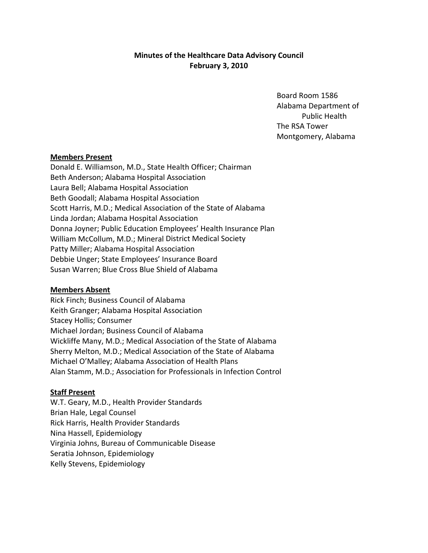# **Minutes of the Healthcare Data Advisory Council February 3, 2010**

Board Room 1586 Alabama Department of Public Health The RSA Tower Montgomery, Alabama

# **Members Present**

Donald E. Williamson, M.D., State Health Officer; Chairman Beth Anderson; Alabama Hospital Association Laura Bell; Alabama Hospital Association Beth Goodall; Alabama Hospital Association Scott Harris, M.D.; Medical Association of the State of Alabama Linda Jordan; Alabama Hospital Association Donna Joyner; Public Education Employees' Health Insurance Plan William McCollum, M.D.; Mineral District Medical Society Patty Miller; Alabama Hospital Association Debbie Unger; State Employees' Insurance Board Susan Warren; Blue Cross Blue Shield of Alabama

#### **Members Absent**

Rick Finch; Business Council of Alabama Keith Granger; Alabama Hospital Association Stacey Hollis; Consumer Michael Jordan; Business Council of Alabama Wickliffe Many, M.D.; Medical Association of the State of Alabama Sherry Melton, M.D.; Medical Association of the State of Alabama Michael O'Malley; Alabama Association of Health Plans Alan Stamm, M.D.; Association for Professionals in Infection Control

# **Staff Present**

W.T. Geary, M.D., Health Provider Standards Brian Hale, Legal Counsel Rick Harris, Health Provider Standards Nina Hassell, Epidemiology Virginia Johns, Bureau of Communicable Disease Seratia Johnson, Epidemiology Kelly Stevens, Epidemiology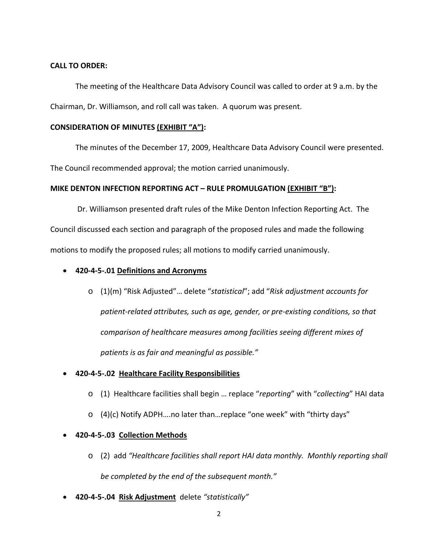#### **CALL TO ORDER:**

The meeting of the Healthcare Data Advisory Council was called to order at 9 a.m. by the Chairman, Dr. Williamson, and roll call was taken. A quorum was present.

# **CONSIDERATION OF MINUTES (EXHIBIT "A"):**

The minutes of the December 17, 2009, Healthcare Data Advisory Council were presented. The Council recommended approval; the motion carried unanimously.

# **MIKE DENTON INFECTION REPORTING ACT – RULE PROMULGATION (EXHIBIT "B"):**

 Dr. Williamson presented draft rules of the Mike Denton Infection Reporting Act. The Council discussed each section and paragraph of the proposed rules and made the following motions to modify the proposed rules; all motions to modify carried unanimously.

- **420‐4‐5‐.01 Definitions and Acronyms**
	- o (1)(m) "Risk Adjusted"… delete "*statistical*"; add "*Risk adjustment accounts for patient‐related attributes, such as age, gender, or pre‐existing conditions, so that comparison of healthcare measures among facilities seeing different mixes of patients is as fair and meaningful as possible."*

# • **420‐4‐5‐.02 Healthcare Facility Responsibilities**

- o (1) Healthcare facilities shall begin … replace "*reporting*" with "*collecting*" HAI data
- o (4)(c) Notify ADPH….no later than…replace "one week" with "thirty days"

# • **420‐4‐5‐.03 Collection Methods**

- o (2) add *"Healthcare facilities shall report HAI data monthly. Monthly reporting shall be completed by the end of the subsequent month."*
- **420‐4‐5‐.04 Risk Adjustment**delete *"statistically"*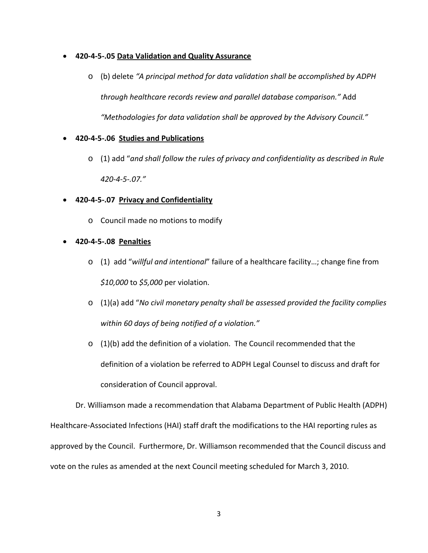# • **420‐4‐5‐.05 Data Validation and Quality Assurance**

o (b) delete *"A principal method for data validation shall be accomplished by ADPH through healthcare records review and parallel database comparison."* Add *"Methodologies for data validation shall be approved by the Advisory Council."*

# • **420‐4‐5‐.06 Studies and Publications**

- o (1) add "*and shall follow the rules of privacy and confidentiality as described in Rule 420‐4‐5‐.07."*
- **420‐4‐5‐.07 Privacy and Confidentiality**
	- o Council made no motions to modify
- **420‐4‐5‐.08 Penalties**
	- o (1) add "*willful and intentional*" failure of a healthcare facility…; change fine from *\$10,000* to *\$5,000* per violation.
	- o (1)(a) add "*No civil monetary penalty shall be assessed provided the facility complies within 60 days of being notified of a violation."*
	- $\circ$  (1)(b) add the definition of a violation. The Council recommended that the definition of a violation be referred to ADPH Legal Counsel to discuss and draft for consideration of Council approval.

Dr. Williamson made a recommendation that Alabama Department of Public Health (ADPH) Healthcare‐Associated Infections (HAI) staff draft the modifications to the HAI reporting rules as approved by the Council. Furthermore, Dr. Williamson recommended that the Council discuss and vote on the rules as amended at the next Council meeting scheduled for March 3, 2010.